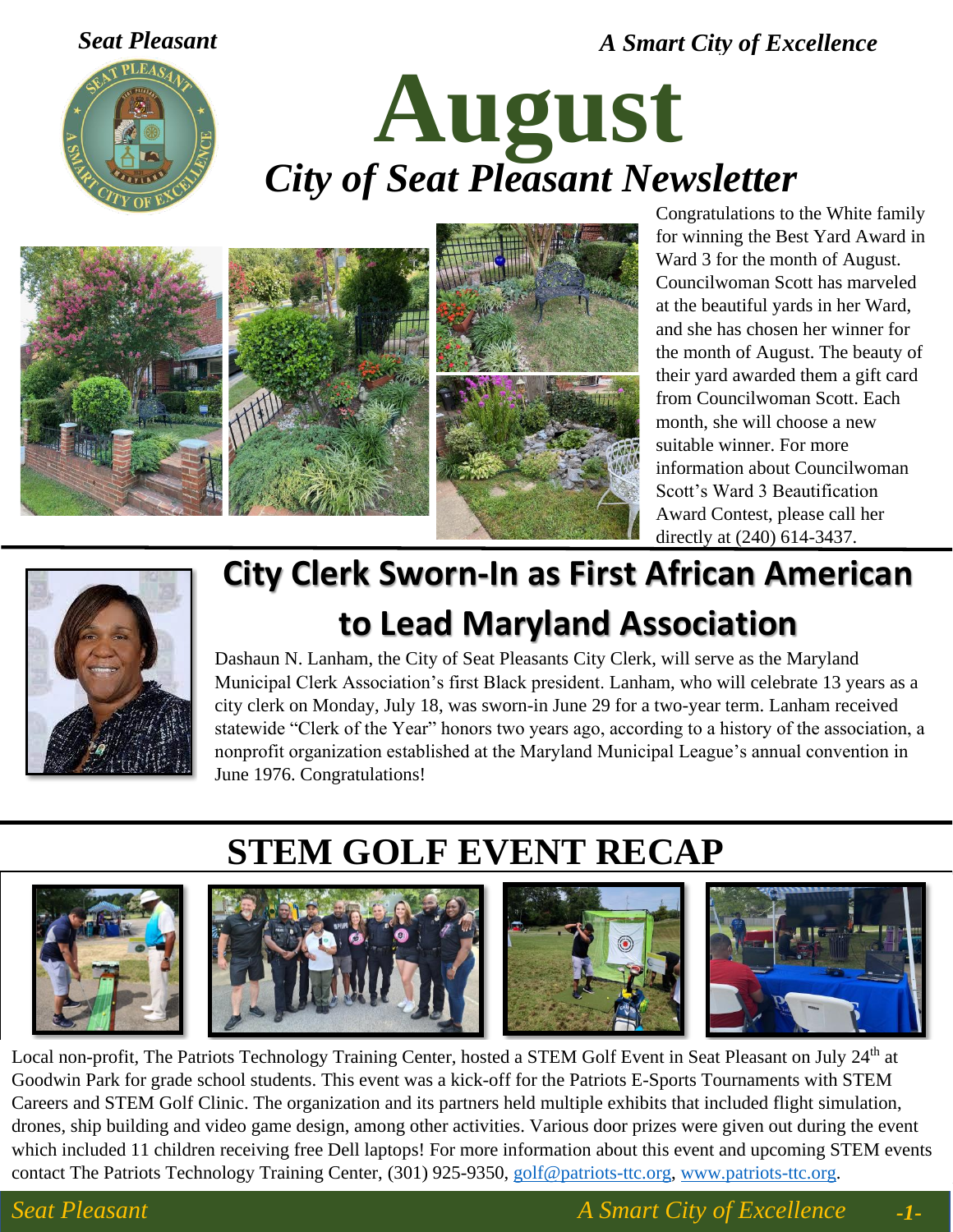*Seat Pleasant A Smart City of Excellence*



# **August** *City of Seat Pleasant Newsletter*



Congratulations to the White family for winning the Best Yard Award in Ward 3 for the month of August. Councilwoman Scott has marveled at the beautiful yards in her Ward, and she has chosen her winner for the month of August. The beauty of their yard awarded them a gift card from Councilwoman Scott. Each month, she will choose a new suitable winner. For more information about Councilwoman Scott's Ward 3 Beautification Award Contest, please call her directly at (240) 614-3437.



# **City Clerk Sworn-In as First African American to Lead Maryland Association**

Dashaun N. Lanham, the City of Seat Pleasants City Clerk, will serve as the Maryland Municipal Clerk Association's first Black president. Lanham, who will celebrate 13 years as a city clerk on Monday, July 18, was sworn-in June 29 for a two-year term. Lanham received statewide "Clerk of the Year" honors two years ago, according to a history of the association, a nonprofit organization established at the Maryland Municipal League's annual convention in June 1976. Congratulations!

# **STEM GOLF EVENT RECAP**









Local non-profit, The Patriots Technology Training Center, hosted a STEM Golf Event in Seat Pleasant on July 24<sup>th</sup> at Goodwin Park for grade school students. This event was a kick-off for the Patriots E-Sports Tournaments with STEM Careers and STEM Golf Clinic. The organization and its partners held multiple exhibits that included flight simulation, drones, ship building and video game design, among other activities. Various door prizes were given out during the event which included 11 children receiving free Dell laptops! For more information about this event and upcoming STEM events contact The Patriots Technology Training Center, (301) 925-9350, [golf@patriots-ttc.org,](mailto:golf@patriots-ttc.org) [www.patriots-ttc.org.](http://www.patriots-ttc.org/)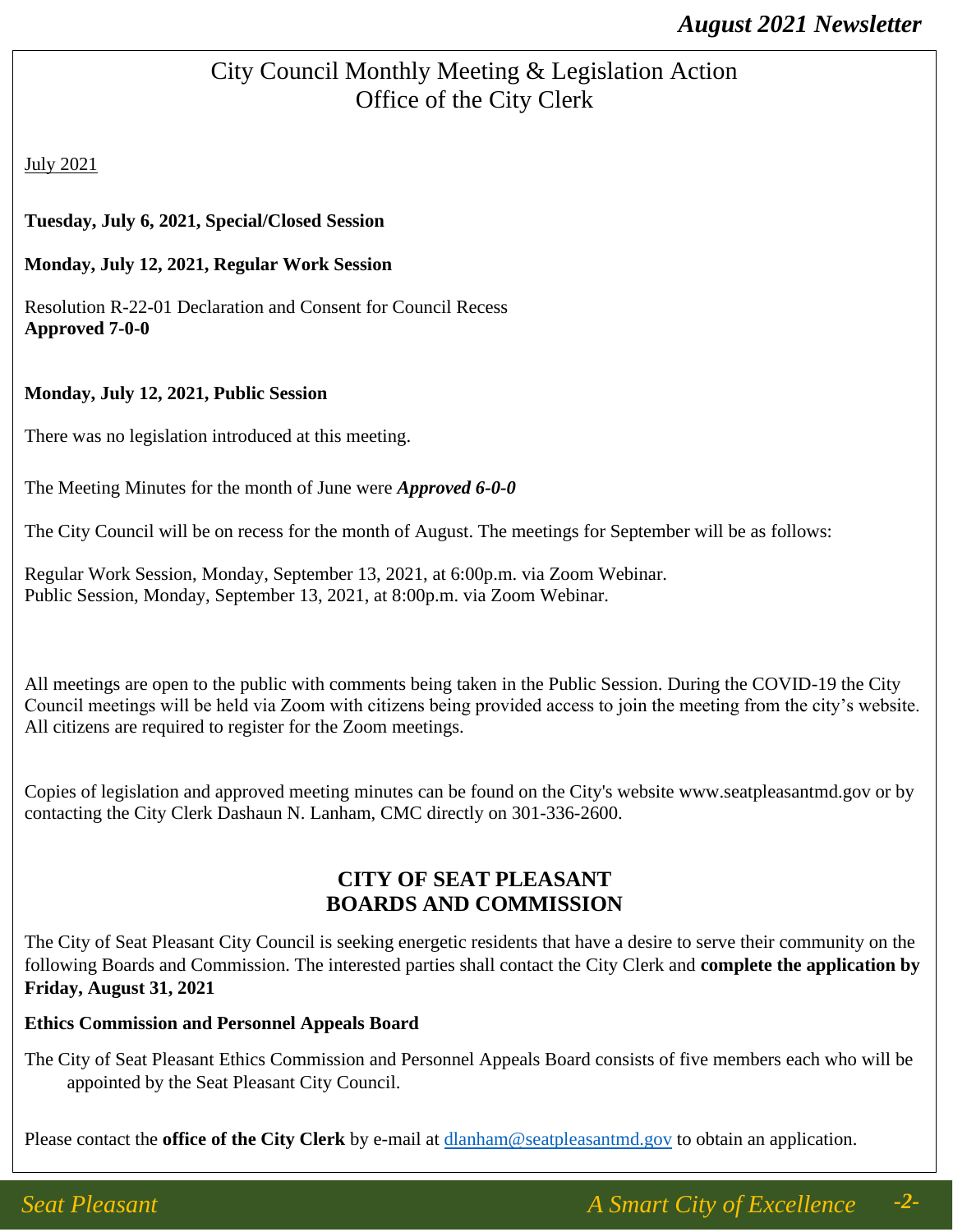### City Council Monthly Meeting & Legislation Action Office of the City Clerk

July 2021

#### **Tuesday, July 6, 2021, Special/Closed Session**

#### **Monday, July 12, 2021, Regular Work Session**

Resolution R-22-01 Declaration and Consent for Council Recess **Approved 7-0-0**

#### **Monday, July 12, 2021, Public Session**

There was no legislation introduced at this meeting.

The Meeting Minutes for the month of June were *Approved 6-0-0*

The City Council will be on recess for the month of August. The meetings for September will be as follows:

Regular Work Session, Monday, September 13, 2021, at 6:00p.m. via Zoom Webinar. Public Session, Monday, September 13, 2021, at 8:00p.m. via Zoom Webinar.

All meetings are open to the public with comments being taken in the Public Session. During the COVID-19 the City Council meetings will be held via Zoom with citizens being provided access to join the meeting from the city's website. All citizens are required to register for the Zoom meetings.

Copies of legislation and approved meeting minutes can be found on the City's website www.seatpleasantmd.gov or by contacting the City Clerk Dashaun N. Lanham, CMC directly on 301-336-2600.

#### **CITY OF SEAT PLEASANT BOARDS AND COMMISSION**

The City of Seat Pleasant City Council is seeking energetic residents that have a desire to serve their community on the following Boards and Commission. The interested parties shall contact the City Clerk and **complete the application by Friday, August 31, 2021**

#### **Ethics Commission and Personnel Appeals Board**

The City of Seat Pleasant Ethics Commission and Personnel Appeals Board consists of five members each who will be appointed by the Seat Pleasant City Council.

Please contact the **office of the City Clerk** by e-mail at **dlanham@seatpleasantmd.gov** to obtain an application.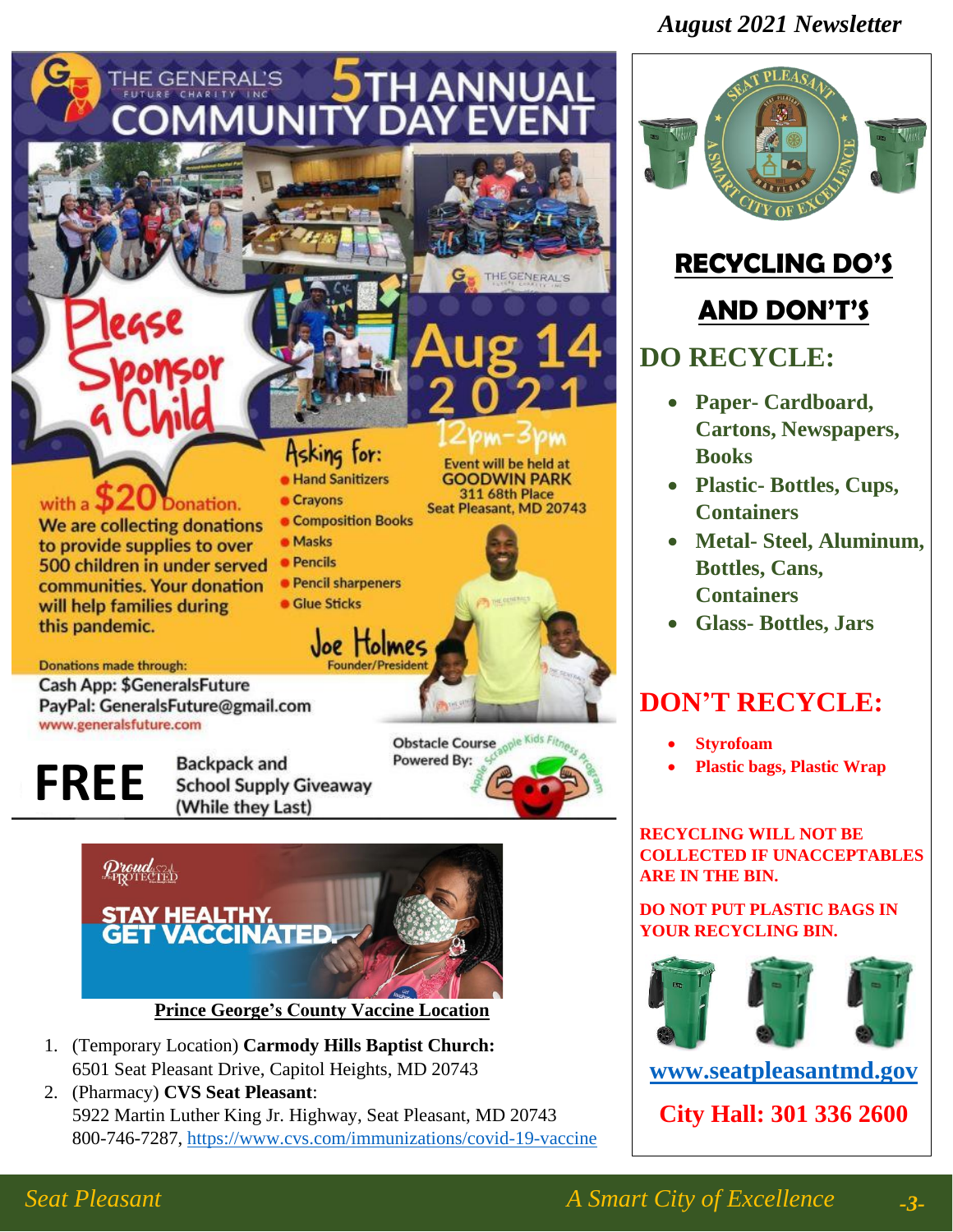### *August 2021 Newsletter*





(While they Last)

- 1. (Temporary Location) **Carmody Hills Baptist Church:** 6501 Seat Pleasant Drive, Capitol Heights, MD 20743
- 2. (Pharmacy) **CVS Seat Pleasant**: 5922 Martin Luther King Jr. Highway, Seat Pleasant, MD 20743 800-746-7287,<https://www.cvs.com/immunizations/covid-19-vaccine>



# **RECYCLING DO'S**

# **AND DON'T'S**

### **DO RECYCLE:**

- **Paper- Cardboard, Cartons, Newspapers, Books**
- **Plastic- Bottles, Cups, Containers**
- **Metal- Steel, Aluminum, Bottles, Cans, Containers**
- **Glass- Bottles, Jars**

# **DON'T RECYCLE:**

- **Styrofoam**
- **Plastic bags, Plastic Wrap**

**RECYCLING WILL NOT BE COLLECTED IF UNACCEPTABLES ARE IN THE BIN.**

#### **DO NOT PUT PLASTIC BAGS IN YOUR RECYCLING BIN.**



**[www.seatpleasantmd.gov](http://www.seatpleasantmd.gov/)**

**City Hall: 301 336 2600**